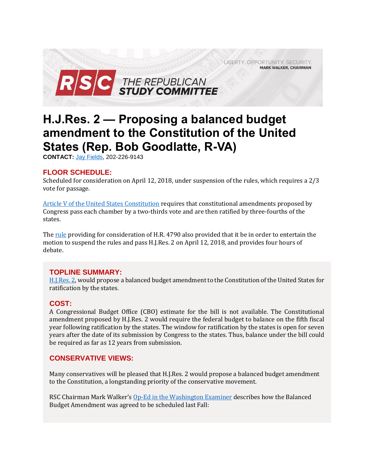

# **H.J.Res. 2 — Proposing a balanced budget amendment to the Constitution of the United States (Rep. Bob Goodlatte, R-VA)**

**CONTACT:** Jay [Fields,](mailto:jay.fields@mail.house.gov) 202-226-9143

## **FLOOR SCHEDULE:**

Scheduled for consideration on April 12, 2018, under suspension of the rules, which requires a 2/3 vote for passage.

[Article V of the United States Constitution](https://www.law.cornell.edu/constitution/articlev) requires that constitutional amendments proposed by Congress pass each chamber by a two-thirds vote and are then ratified by three-fourths of the states.

Th[e rule](https://rules.house.gov/bill/115/hr-4790) providing for consideration of H.R. 4790 also provided that it be in order to entertain the motion to suspend the rules and pass H.J.Res. 2 on April 12, 2018, and provides four hours of debate.

## **TOPLINE SUMMARY:**

[H.J.Res. 2,](https://www.gpo.gov/fdsys/pkg/BILLS-115hjres2ih/pdf/BILLS-115hjres2ih.pdf) would propose a balanced budget amendment to the Constitution of the United States for ratification by the states.

#### **COST:**

A Congressional Budget Office (CBO) estimate for the bill is not available. The Constitutional amendment proposed by H.J.Res. 2 would require the federal budget to balance on the fifth fiscal year following ratification by the states. The window for ratification by the states is open for seven years after the date of its submission by Congress to the states. Thus, balance under the bill could be required as far as 12 years from submission.

## **CONSERVATIVE VIEWS:**

Many conservatives will be pleased that H.J.Res. 2 would propose a balanced budget amendment to the Constitution, a longstanding priority of the conservative movement.

RSC Chairman Mark Walker's [Op-Ed in the Washington Examiner](https://www.washingtonexaminer.com/opinion/op-eds/rep-mark-walker-a-balanced-budget-amendment-is-only-one-step) describes how the Balanced Budget Amendment was agreed to be scheduled last Fall: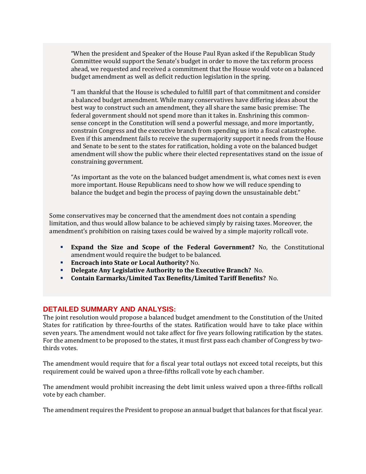"When the president and Speaker of the House Paul Ryan asked if the Republican Study Committee would support the Senate's budget in order to move the tax reform process ahead, we requested and received a commitment that the House would vote on a balanced budget amendment as well as deficit reduction legislation in the spring.

"I am thankful that the House is scheduled to fulfill part of that commitment and consider a balanced budget amendment. While many conservatives have differing ideas about the best way to construct such an amendment, they all share the same basic premise: The federal government should not spend more than it takes in. Enshrining this commonsense concept in the Constitution will send a powerful message, and more importantly, constrain Congress and the executive branch from spending us into a fiscal catastrophe. Even if this amendment fails to receive the supermajority support it needs from the House and Senate to be sent to the states for ratification, holding a vote on the balanced budget amendment will show the public where their elected representatives stand on the issue of constraining government.

"As important as the vote on the balanced budget amendment is, what comes next is even more important. House Republicans need to show how we will reduce spending to balance the budget and begin the process of paying down the unsustainable debt."

Some conservatives may be concerned that the amendment does not contain a spending limitation, and thus would allow balance to be achieved simply by raising taxes. Moreover, the amendment's prohibition on raising taxes could be waived by a simple majority rollcall vote.

- **Expand the Size and Scope of the Federal Government?** No, the Constitutional amendment would require the budget to be balanced.
- **Encroach into State or Local Authority?** No.
- **Delegate Any Legislative Authority to the Executive Branch?** No.
- **Contain Earmarks/Limited Tax Benefits/Limited Tariff Benefits?** No.

#### **DETAILED SUMMARY AND ANALYSIS:**

The joint resolution would propose a balanced budget amendment to the Constitution of the United States for ratification by three-fourths of the states. Ratification would have to take place within seven years. The amendment would not take affect for five years following ratification by the states. For the amendment to be proposed to the states, it must first pass each chamber of Congress by twothirds votes.

The amendment would require that for a fiscal year total outlays not exceed total receipts, but this requirement could be waived upon a three-fifths rollcall vote by each chamber.

The amendment would prohibit increasing the debt limit unless waived upon a three-fifths rollcall vote by each chamber.

The amendment requires the President to propose an annual budget that balances for that fiscal year.